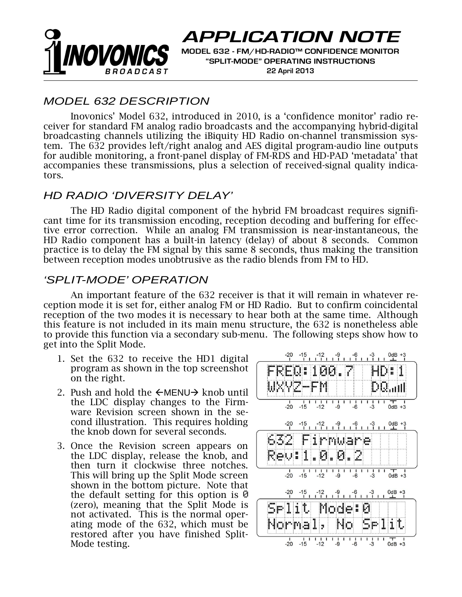

# **APPLICATION NOTE**

**MODEL 632 - FM/HD-RADIO™ CONFIDENCE MONITOR "SPLIT-MODE" OPERATING INSTRUCTIONS 22 April 2013** 

## *MODEL 632 DESCRIPTION*

Inovonics' Model 632, introduced in 2010, is a 'confidence monitor' radio receiver for standard FM analog radio broadcasts and the accompanying hybrid-digital broadcasting channels utilizing the iBiquity HD Radio on-channel transmission system. The 632 provides left/right analog and AES digital program-audio line outputs for audible monitoring, a front-panel display of FM-RDS and HD-PAD 'metadata' that accompanies these transmissions, plus a selection of received-signal quality indicators.

#### *HD RADIO 'DIVERSITY DELAY'*

The HD Radio digital component of the hybrid FM broadcast requires significant time for its transmission encoding, reception decoding and buffering for effective error correction. While an analog FM transmission is near-instantaneous, the HD Radio component has a built-in latency (delay) of about 8 seconds. Common practice is to delay the FM signal by this same 8 seconds, thus making the transition between reception modes unobtrusive as the radio blends from FM to HD.

### *'SPLIT-MODE' OPERATION*

An important feature of the 632 receiver is that it will remain in whatever reception mode it is set for, either analog FM or HD Radio. But to confirm coincidental reception of the two modes it is necessary to hear both at the same time. Although this feature is not included in its main menu structure, the 632 is nonetheless able to provide this function via a secondary sub-menu. The following steps show how to get into the Split Mode.

- 1. Set the 632 to receive the HD1 digital program as shown in the top screenshot on the right.
- 2. Push and hold the  $\leftarrow$ MENU $\rightarrow$  knob until the LDC display changes to the Firmware Revision screen shown in the second illustration. This requires holding the knob down for several seconds.
- 3. Once the Revision screen appears on the LDC display, release the knob, and then turn it clockwise three notches. This will bring up the Split Mode screen shown in the bottom picture. Note that the default setting for this option is  $\Theta$ (zero), meaning that the Split Mode is not activated. This is the normal operating mode of the 632, which must be restored after you have finished Split-Mode testing.

| $-20$ $-15$ $-12$ $-9$ $-6$ $-3$                                                                         | $0dB +3$                                  |
|----------------------------------------------------------------------------------------------------------|-------------------------------------------|
| REQ:100.7                                                                                                | HD:1                                      |
| VZ-FM<br>WX                                                                                              | $\mathbb{D} \mathbb{Q}_{\mathrm{out}}$ nl |
| $\blacksquare$<br>1<br>٠<br>$\mathbf{I}$<br>$-\frac{1}{6}$<br>$-20$<br>$-15$<br>$-12$<br>$-9$            | г<br>1 I<br>1<br>$-3$<br>$0dB +3$         |
| $-20$ $-15$ $-12$ $-9$ $-6$ $-3$ $0$ dB +3<br>                                                           |                                           |
| 632<br>Firmware                                                                                          |                                           |
| 0.0.<br>Rev: 11<br>2                                                                                     |                                           |
| 1<br>$\mathbf{I}$<br>$\mathbf{I}$<br>п<br>ı<br>$\blacksquare$<br>$-20$<br>$-15$<br>$-12$<br>$-6$<br>$-9$ | ı<br>т<br>1<br>1<br>$-3$<br>$0dB +3$      |
| $-12$ $-9$ $-6$ $-3$ $0dB + 3$<br>$-20 -15$                                                              |                                           |
| Selit<br>Mode‡                                                                                           | Ø                                         |
| Normal, I<br>Nol                                                                                         | Selit                                     |
| 1<br>$-6$<br>$-20 -15 -12$<br>$-9$                                                                       | ı<br>$-3$<br>$0dB +3$                     |